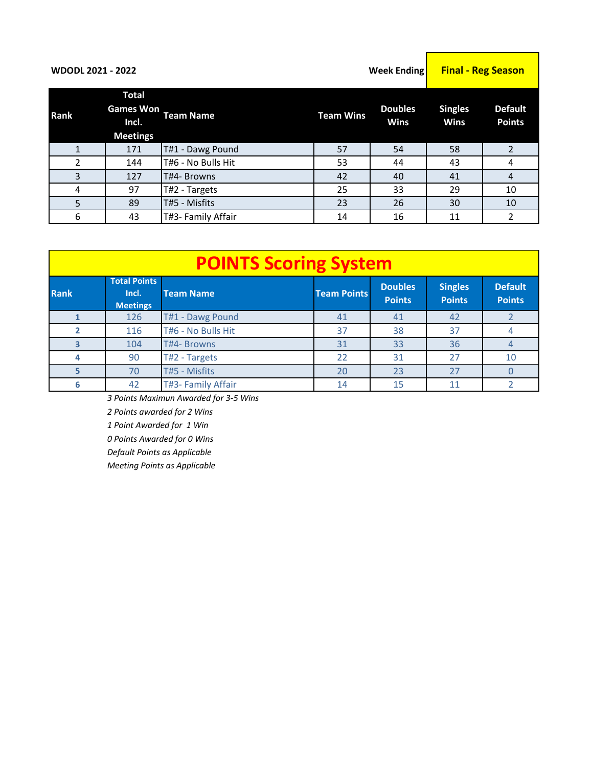| <b>WDODL 2021 - 2022</b> |                                                              | <b>Week Ending</b> | <b>Final - Reg Season</b> |                               |                               |                                 |
|--------------------------|--------------------------------------------------------------|--------------------|---------------------------|-------------------------------|-------------------------------|---------------------------------|
| Rank                     | <b>Total</b><br><b>Games Won</b><br>Incl.<br><b>Meetings</b> | Team Name          | <b>Team Wins</b>          | <b>Doubles</b><br><b>Wins</b> | <b>Singles</b><br><b>Wins</b> | <b>Default</b><br><b>Points</b> |
| 1                        | 171                                                          | T#1 - Dawg Pound   | 57                        | 54                            | 58                            | 2                               |
| $\mathfrak{p}$           | 144                                                          | T#6 - No Bulls Hit | 53                        | 44                            | 43                            | 4                               |
| 3                        | 127                                                          | T#4- Browns        | 42                        | 40                            | 41                            | $\overline{A}$                  |
| 4                        | 97                                                           | T#2 - Targets      | 25                        | 33                            | 29                            | 10                              |
| 5                        | 89                                                           | T#5 - Misfits      | 23                        | 26                            | 30                            | 10                              |
| 6                        | 43                                                           | T#3- Family Affair | 14                        | 16                            | 11                            | 2                               |

|             | <b>POINTS Scoring System</b>                    |                    |                    |                                 |                                 |                                 |  |  |  |  |  |  |  |
|-------------|-------------------------------------------------|--------------------|--------------------|---------------------------------|---------------------------------|---------------------------------|--|--|--|--|--|--|--|
| <b>Rank</b> | <b>Total Points</b><br>Incl.<br><b>Meetings</b> | <b>Team Name</b>   | <b>Team Points</b> | <b>Doubles</b><br><b>Points</b> | <b>Singles</b><br><b>Points</b> | <b>Default</b><br><b>Points</b> |  |  |  |  |  |  |  |
|             | 126                                             | T#1 - Dawg Pound   | 41                 | 41                              | 42                              |                                 |  |  |  |  |  |  |  |
|             | 116                                             | T#6 - No Bulls Hit | 37                 | 38                              | 37                              |                                 |  |  |  |  |  |  |  |
| 3           | 104                                             | T#4- Browns        | 31                 | 33                              | 36                              | 4                               |  |  |  |  |  |  |  |
| 4           | 90                                              | T#2 - Targets      | 22                 | 31                              | 27                              | 10                              |  |  |  |  |  |  |  |
| 5           | 70                                              | T#5 - Misfits      | 20                 | 23                              | 27                              | O                               |  |  |  |  |  |  |  |
| 6           | 42                                              | T#3- Family Affair | 14                 | 15                              | 11                              |                                 |  |  |  |  |  |  |  |

*3 Points Maximun Awarded for 3-5 Wins*

*2 Points awarded for 2 Wins*

*1 Point Awarded for 1 Win*

*0 Points Awarded for 0 Wins*

*Default Points as Applicable* 

*Meeting Points as Applicable*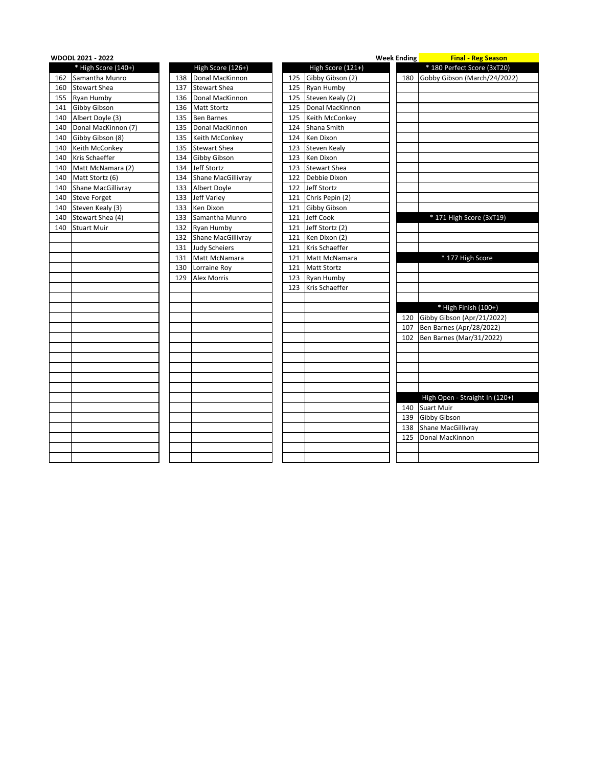|     | <b>WDODL 2021 - 2022</b>  |     |                      |     |                     | <b>Week Ending</b> | <b>Example 1 Final - Reg Season</b> |
|-----|---------------------------|-----|----------------------|-----|---------------------|--------------------|-------------------------------------|
|     | * High Score (140+)       |     | High Score (126+)    |     | High Score (121+)   |                    | * 180 Perfect Score (3xT20)         |
| 162 | Samantha Munro            | 138 | Donal MacKinnon      | 125 | Gibby Gibson (2)    | 180                | Gobby Gibson (March/24/2022)        |
| 160 | <b>Stewart Shea</b>       | 137 | <b>Stewart Shea</b>  | 125 | <b>Ryan Humby</b>   |                    |                                     |
|     | 155 Ryan Humby            | 136 | Donal MacKinnon      | 125 | Steven Kealy (2)    |                    |                                     |
|     | 141 Gibby Gibson          | 136 | <b>Matt Stortz</b>   | 125 | Donal MacKinnon     |                    |                                     |
| 140 | Albert Doyle (3)          | 135 | <b>Ben Barnes</b>    | 125 | Keith McConkey      |                    |                                     |
| 140 | Donal MacKinnon (7)       | 135 | Donal MacKinnon      | 124 | Shana Smith         |                    |                                     |
| 140 | Gibby Gibson (8)          | 135 | Keith McConkey       | 124 | Ken Dixon           |                    |                                     |
|     | 140 Keith McConkey        | 135 | <b>Stewart Shea</b>  | 123 | <b>Steven Kealy</b> |                    |                                     |
| 140 | Kris Schaeffer            | 134 | Gibby Gibson         | 123 | Ken Dixon           |                    |                                     |
| 140 | Matt McNamara (2)         | 134 | Jeff Stortz          | 123 | <b>Stewart Shea</b> |                    |                                     |
| 140 | Matt Stortz (6)           | 134 | Shane MacGillivray   | 122 | Debbie Dixon        |                    |                                     |
| 140 | <b>Shane MacGillivray</b> | 133 | <b>Albert Doyle</b>  | 122 | Jeff Stortz         |                    |                                     |
|     | 140 Steve Forget          | 133 | Jeff Varley          | 121 | Chris Pepin (2)     |                    |                                     |
|     | 140 Steven Kealy (3)      | 133 | Ken Dixon            |     | 121 Gibby Gibson    |                    |                                     |
| 140 | Stewart Shea (4)          | 133 | Samantha Munro       | 121 | Jeff Cook           |                    | * 171 High Score (3xT19)            |
| 140 | <b>Stuart Muir</b>        | 132 | Ryan Humby           | 121 | Jeff Stortz (2)     |                    |                                     |
|     |                           | 132 | Shane MacGillivray   | 121 | Ken Dixon (2)       |                    |                                     |
|     |                           | 131 | <b>Judy Scheiers</b> | 121 | Kris Schaeffer      |                    |                                     |
|     |                           | 131 | Matt McNamara        | 121 | Matt McNamara       |                    | * 177 High Score                    |
|     |                           | 130 | Lorraine Roy         | 121 | <b>Matt Stortz</b>  |                    |                                     |
|     |                           | 129 | <b>Alex Morris</b>   | 123 | Ryan Humby          |                    |                                     |
|     |                           |     |                      | 123 | Kris Schaeffer      |                    |                                     |
|     |                           |     |                      |     |                     |                    |                                     |
|     |                           |     |                      |     |                     |                    | * High Finish (100+)                |
|     |                           |     |                      |     |                     | 120                | Gibby Gibson (Apr/21/2022)          |
|     |                           |     |                      |     |                     | 107                | Ben Barnes (Apr/28/2022)            |
|     |                           |     |                      |     |                     | 102                | Ben Barnes (Mar/31/2022)            |
|     |                           |     |                      |     |                     |                    |                                     |
|     |                           |     |                      |     |                     |                    |                                     |
|     |                           |     |                      |     |                     |                    |                                     |
|     |                           |     |                      |     |                     |                    |                                     |
|     |                           |     |                      |     |                     |                    |                                     |
|     |                           |     |                      |     |                     |                    | High Open - Straight In (120+)      |
|     |                           |     |                      |     |                     | 140                | <b>Suart Muir</b>                   |
|     |                           |     |                      |     |                     | 139                | Gibby Gibson                        |
|     |                           |     |                      |     |                     | 138                | Shane MacGillivray                  |
|     |                           |     |                      |     |                     | 125                | Donal MacKinnon                     |
|     |                           |     |                      |     |                     |                    |                                     |
|     |                           |     |                      |     |                     |                    |                                     |
|     |                           |     |                      |     |                     |                    |                                     |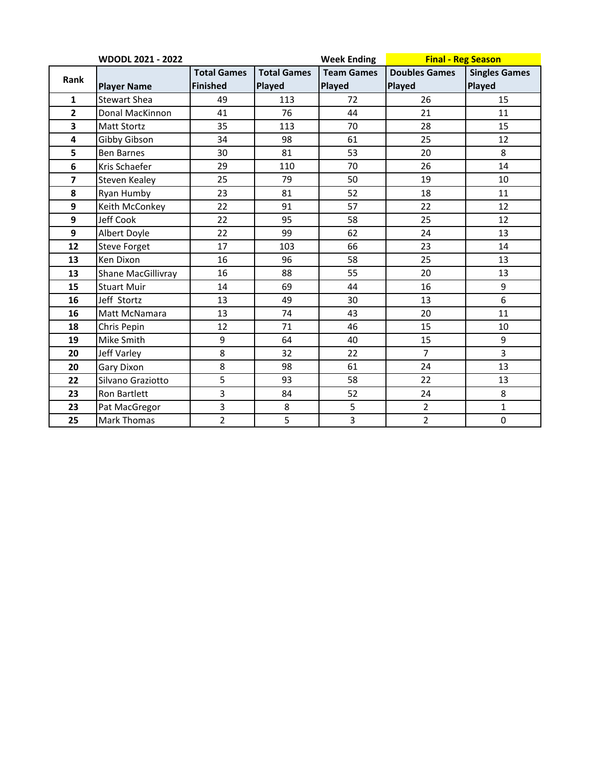|                         | <b>WDODL 2021 - 2022</b> |                    |                    | <b>Week Ending</b> | <b>Final - Reg Season</b> |                      |
|-------------------------|--------------------------|--------------------|--------------------|--------------------|---------------------------|----------------------|
| Rank                    |                          | <b>Total Games</b> | <b>Total Games</b> | <b>Team Games</b>  | <b>Doubles Games</b>      | <b>Singles Games</b> |
|                         | <b>Player Name</b>       | <b>Finished</b>    | Played             | Played             | Played                    | Played               |
| $\mathbf{1}$            | <b>Stewart Shea</b>      | 49                 | 113                | 72                 | 26                        | 15                   |
| $\overline{\mathbf{2}}$ | Donal MacKinnon          | 41                 | 76                 | 44                 | 21                        | 11                   |
| $\overline{\mathbf{3}}$ | <b>Matt Stortz</b>       | 35                 | 113                | 70                 | 28                        | 15                   |
| 4                       | Gibby Gibson             | 34                 | 98                 | 61                 | 25                        | 12                   |
| 5                       | <b>Ben Barnes</b>        | 30                 | 81                 | 53                 | 20                        | 8                    |
| 6                       | Kris Schaefer            | 29                 | 110                | 70                 | 26                        | 14                   |
| $\overline{\mathbf{z}}$ | Steven Kealey            | 25                 | 79                 | 50                 | 19                        | 10                   |
| 8                       | Ryan Humby               | 23                 | 81                 | 52                 | 18                        | 11                   |
| 9                       | Keith McConkey           | 22                 | 91                 | 57                 | 22                        | 12                   |
| 9                       | Jeff Cook                | 22                 | 95                 | 58                 | 25                        | 12                   |
| 9                       | Albert Doyle             | 22                 | 99                 | 62                 | 24                        | 13                   |
| 12                      | <b>Steve Forget</b>      | 17                 | 103                | 66                 | 23                        | 14                   |
| 13                      | Ken Dixon                | 16                 | 96                 | 58                 | 25                        | 13                   |
| 13                      | Shane MacGillivray       | 16                 | 88                 | 55                 | 20                        | 13                   |
| 15                      | <b>Stuart Muir</b>       | 14                 | 69                 | 44                 | 16                        | 9                    |
| 16                      | Jeff Stortz              | 13                 | 49                 | 30                 | 13                        | 6                    |
| 16                      | Matt McNamara            | 13                 | 74                 | 43                 | 20                        | 11                   |
| 18                      | Chris Pepin              | 12                 | 71                 | 46                 | 15                        | 10                   |
| 19                      | Mike Smith               | 9                  | 64                 | 40                 | 15                        | 9                    |
| 20                      | Jeff Varley              | 8                  | 32                 | 22                 | $\overline{7}$            | 3                    |
| 20                      | Gary Dixon               | 8                  | 98                 | 61                 | 24                        | 13                   |
| 22                      | Silvano Graziotto        | 5                  | 93                 | 58                 | 22                        | 13                   |
| 23                      | Ron Bartlett             | 3                  | 84                 | 52                 | 24                        | 8                    |
| 23                      | Pat MacGregor            | 3                  | 8                  | 5                  | $\overline{2}$            | $\mathbf{1}$         |
| 25                      | <b>Mark Thomas</b>       | $\overline{2}$     | 5                  | 3                  | $\overline{2}$            | 0                    |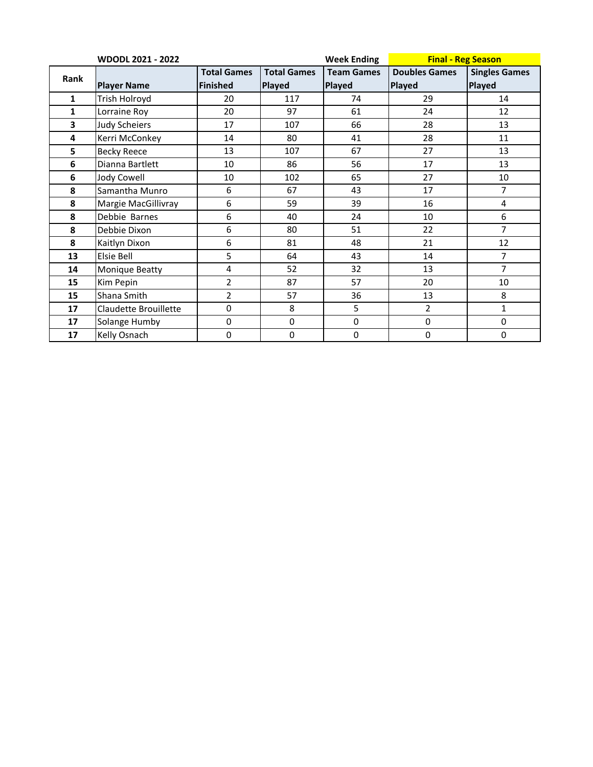|                         | <b>WDODL 2021 - 2022</b> |                    |                    | <b>Week Ending</b> | <b>Final - Reg Season</b> |                      |  |  |
|-------------------------|--------------------------|--------------------|--------------------|--------------------|---------------------------|----------------------|--|--|
| Rank                    |                          | <b>Total Games</b> | <b>Total Games</b> | <b>Team Games</b>  | <b>Doubles Games</b>      | <b>Singles Games</b> |  |  |
|                         | <b>Player Name</b>       | <b>Finished</b>    | Played             | Played             | <b>Played</b>             | Played               |  |  |
| $\mathbf{1}$            | Trish Holroyd            | 20                 | 117                | 74                 | 29                        | 14                   |  |  |
| 1                       | Lorraine Roy             | 20                 | 97                 | 61                 | 24                        | 12                   |  |  |
| $\overline{\mathbf{3}}$ | <b>Judy Scheiers</b>     | 17                 | 107                | 66                 | 28                        | 13                   |  |  |
| 4                       | Kerri McConkey           | 14                 | 80                 | 41                 | 28                        | 11                   |  |  |
| 5                       | <b>Becky Reece</b>       | 13                 | 107                | 67                 | 27                        | 13                   |  |  |
| 6                       | Dianna Bartlett          | 10                 | 86                 | 56                 | 17                        | 13                   |  |  |
| 6                       | Jody Cowell              | 10                 | 102                | 65                 | 27                        | 10                   |  |  |
| 8                       | Samantha Munro           | 6                  | 67                 | 43                 | 17                        | $\overline{7}$       |  |  |
| 8                       | Margie MacGillivray      | 6                  | 59                 | 39                 | 16                        | 4                    |  |  |
| 8                       | Debbie Barnes            | 6                  | 40                 | 24                 | 10                        | 6                    |  |  |
| 8                       | Debbie Dixon             | 6                  | 80                 | 51                 | 22                        | $\overline{7}$       |  |  |
| 8                       | Kaitlyn Dixon            | 6                  | 81                 | 48                 | 21                        | 12                   |  |  |
| 13                      | Elsie Bell               | 5                  | 64                 | 43                 | 14                        | $\overline{7}$       |  |  |
| 14                      | <b>Monique Beatty</b>    | 4                  | 52                 | 32                 | 13                        | $\overline{7}$       |  |  |
| 15                      | Kim Pepin                | 2                  | 87                 | 57                 | 20                        | 10                   |  |  |
| 15                      | Shana Smith              | 2                  | 57                 | 36                 | 13                        | 8                    |  |  |
| 17                      | Claudette Brouillette    | $\mathbf 0$        | 8                  | 5                  | $\overline{2}$            | $\mathbf{1}$         |  |  |
| 17                      | Solange Humby            | $\mathbf 0$        | 0                  | $\pmb{0}$          | 0                         | $\pmb{0}$            |  |  |
| 17                      | Kelly Osnach             | $\mathbf 0$        | 0                  | $\pmb{0}$          | 0                         | $\pmb{0}$            |  |  |